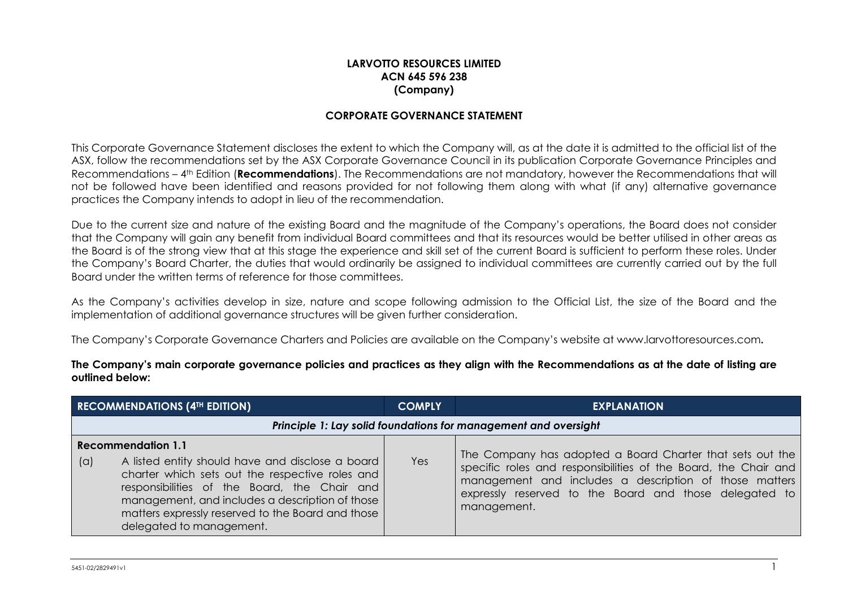## **LARVOTTO RESOURCES LIMITED ACN 645 596 238 (Company)**

## **CORPORATE GOVERNANCE STATEMENT**

This Corporate Governance Statement discloses the extent to which the Company will, as at the date it is admitted to the official list of the ASX, follow the recommendations set by the ASX Corporate Governance Council in its publication Corporate Governance Principles and Recommendations – 4th Edition (**Recommendations**). The Recommendations are not mandatory, however the Recommendations that will not be followed have been identified and reasons provided for not following them along with what (if any) alternative governance practices the Company intends to adopt in lieu of the recommendation.

Due to the current size and nature of the existing Board and the magnitude of the Company's operations, the Board does not consider that the Company will gain any benefit from individual Board committees and that its resources would be better utilised in other areas as the Board is of the strong view that at this stage the experience and skill set of the current Board is sufficient to perform these roles. Under the Company's Board Charter, the duties that would ordinarily be assigned to individual committees are currently carried out by the full Board under the written terms of reference for those committees.

As the Company's activities develop in size, nature and scope following admission to the Official List, the size of the Board and the implementation of additional governance structures will be given further consideration.

The Company's Corporate Governance Charters and Policies are available on the Company's website at [www.larvottoresources.com](http://www.moneghettiminerals.com/)**.** 

**The Company's main corporate governance policies and practices as they align with the Recommendations as at the date of listing are outlined below:**

| <b>RECOMMENDATIONS (4TH EDITION)</b>                                                                                                                                                                                                                                                                                        | <b>COMPLY</b> | <b>EXPLANATION</b>                                                                                                                                                                                                                                              |
|-----------------------------------------------------------------------------------------------------------------------------------------------------------------------------------------------------------------------------------------------------------------------------------------------------------------------------|---------------|-----------------------------------------------------------------------------------------------------------------------------------------------------------------------------------------------------------------------------------------------------------------|
| Principle 1: Lay solid foundations for management and oversight                                                                                                                                                                                                                                                             |               |                                                                                                                                                                                                                                                                 |
| <b>Recommendation 1.1</b><br>(a)<br>A listed entity should have and disclose a board<br>charter which sets out the respective roles and<br>responsibilities of the Board, the Chair and<br>management, and includes a description of those<br>matters expressly reserved to the Board and those<br>delegated to management. | Yes           | The Company has adopted a Board Charter that sets out the<br>specific roles and responsibilities of the Board, the Chair and<br>management and includes a description of those matters<br>expressly reserved to the Board and those delegated to<br>management. |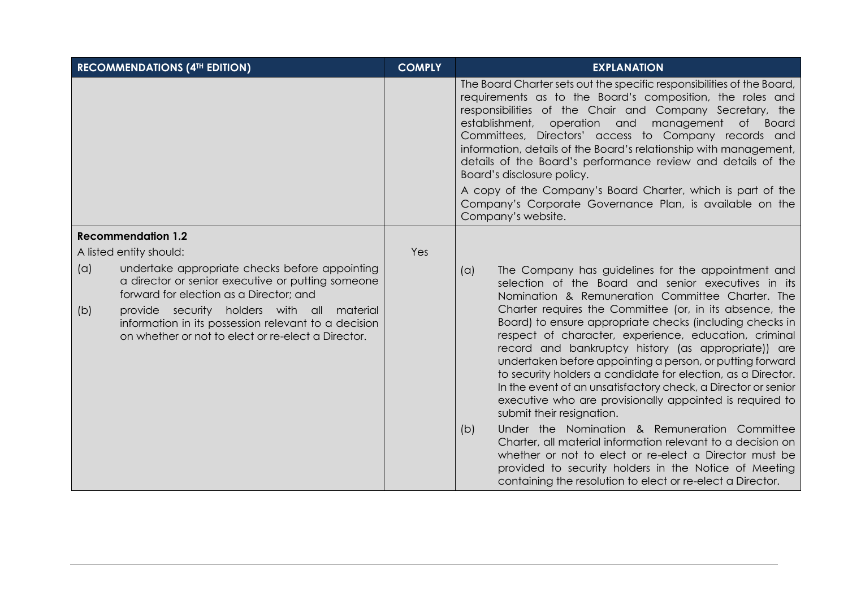| <b>RECOMMENDATIONS (4TH EDITION)</b>                                                                                                                                                                                                                                                                                     | <b>COMPLY</b> | <b>EXPLANATION</b>                                                                                                                                                                                                                                                                                                                                                                                                                                                                                                                                                                                                                                                                                                                                                                                                                                                                                                                                                                                         |
|--------------------------------------------------------------------------------------------------------------------------------------------------------------------------------------------------------------------------------------------------------------------------------------------------------------------------|---------------|------------------------------------------------------------------------------------------------------------------------------------------------------------------------------------------------------------------------------------------------------------------------------------------------------------------------------------------------------------------------------------------------------------------------------------------------------------------------------------------------------------------------------------------------------------------------------------------------------------------------------------------------------------------------------------------------------------------------------------------------------------------------------------------------------------------------------------------------------------------------------------------------------------------------------------------------------------------------------------------------------------|
|                                                                                                                                                                                                                                                                                                                          |               | The Board Charter sets out the specific responsibilities of the Board,<br>requirements as to the Board's composition, the roles and<br>responsibilities of the Chair and Company Secretary, the<br>establishment,<br>operation and<br>management<br>$\circ$ f<br>Board<br>Committees, Directors' access to Company records and<br>information, details of the Board's relationship with management,<br>details of the Board's performance review and details of the<br>Board's disclosure policy.<br>A copy of the Company's Board Charter, which is part of the<br>Company's Corporate Governance Plan, is available on the<br>Company's website.                                                                                                                                                                                                                                                                                                                                                         |
| <b>Recommendation 1.2</b>                                                                                                                                                                                                                                                                                                |               |                                                                                                                                                                                                                                                                                                                                                                                                                                                                                                                                                                                                                                                                                                                                                                                                                                                                                                                                                                                                            |
| A listed entity should:                                                                                                                                                                                                                                                                                                  | Yes           |                                                                                                                                                                                                                                                                                                                                                                                                                                                                                                                                                                                                                                                                                                                                                                                                                                                                                                                                                                                                            |
| (a)<br>undertake appropriate checks before appointing<br>a director or senior executive or putting someone<br>forward for election as a Director; and<br>provide security holders with all material<br>(b)<br>information in its possession relevant to a decision<br>on whether or not to elect or re-elect a Director. |               | The Company has guidelines for the appointment and<br>(a)<br>selection of the Board and senior executives in its<br>Nomination & Remuneration Committee Charter. The<br>Charter requires the Committee (or, in its absence, the<br>Board) to ensure appropriate checks (including checks in<br>respect of character, experience, education, criminal<br>record and bankruptcy history (as appropriate)) are<br>undertaken before appointing a person, or putting forward<br>to security holders a candidate for election, as a Director.<br>In the event of an unsatisfactory check, a Director or senior<br>executive who are provisionally appointed is required to<br>submit their resignation.<br>Under the Nomination & Remuneration Committee<br>(b)<br>Charter, all material information relevant to a decision on<br>whether or not to elect or re-elect a Director must be<br>provided to security holders in the Notice of Meeting<br>containing the resolution to elect or re-elect a Director. |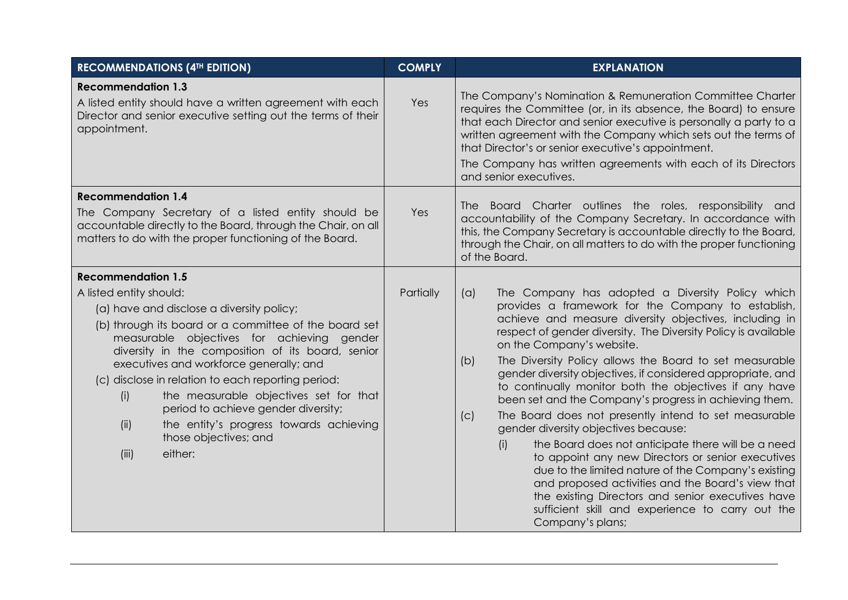| <b>RECOMMENDATIONS (4TH EDITION)</b>                                                                                                                                                                                                                                                                                                                                                                                                                                                                                                                   | <b>COMPLY</b> | <b>EXPLANATION</b>                                                                                                                                                                                                                                                                                                                                                                                                                                                                                                                                                                                                                                                                                                                                                                                                                                                                                                                                                                             |
|--------------------------------------------------------------------------------------------------------------------------------------------------------------------------------------------------------------------------------------------------------------------------------------------------------------------------------------------------------------------------------------------------------------------------------------------------------------------------------------------------------------------------------------------------------|---------------|------------------------------------------------------------------------------------------------------------------------------------------------------------------------------------------------------------------------------------------------------------------------------------------------------------------------------------------------------------------------------------------------------------------------------------------------------------------------------------------------------------------------------------------------------------------------------------------------------------------------------------------------------------------------------------------------------------------------------------------------------------------------------------------------------------------------------------------------------------------------------------------------------------------------------------------------------------------------------------------------|
| <b>Recommendation 1.3</b><br>A listed entity should have a written agreement with each<br>Director and senior executive setting out the terms of their<br>appointment.                                                                                                                                                                                                                                                                                                                                                                                 | Yes           | The Company's Nomination & Remuneration Committee Charter<br>requires the Committee (or, in its absence, the Board) to ensure<br>that each Director and senior executive is personally a party to a<br>written agreement with the Company which sets out the terms of<br>that Director's or senior executive's appointment.<br>The Company has written agreements with each of its Directors<br>and senior executives.                                                                                                                                                                                                                                                                                                                                                                                                                                                                                                                                                                         |
| <b>Recommendation 1.4</b><br>The Company Secretary of a listed entity should be<br>accountable directly to the Board, through the Chair, on all<br>matters to do with the proper functioning of the Board.                                                                                                                                                                                                                                                                                                                                             | Yes           | The Board Charter outlines the roles, responsibility and<br>accountability of the Company Secretary. In accordance with<br>this, the Company Secretary is accountable directly to the Board,<br>through the Chair, on all matters to do with the proper functioning<br>of the Board.                                                                                                                                                                                                                                                                                                                                                                                                                                                                                                                                                                                                                                                                                                           |
| <b>Recommendation 1.5</b><br>A listed entity should:<br>(a) have and disclose a diversity policy;<br>(b) through its board or a committee of the board set<br>measurable objectives for achieving gender<br>diversity in the composition of its board, senior<br>executives and workforce generally; and<br>(c) disclose in relation to each reporting period:<br>the measurable objectives set for that<br>(i)<br>period to achieve gender diversity;<br>the entity's progress towards achieving<br>(ii)<br>those objectives; and<br>(iii)<br>either: | Partially     | The Company has adopted a Diversity Policy which<br>(a)<br>provides a framework for the Company to establish,<br>achieve and measure diversity objectives, including in<br>respect of gender diversity. The Diversity Policy is available<br>on the Company's website.<br>The Diversity Policy allows the Board to set measurable<br>(b)<br>gender diversity objectives, if considered appropriate, and<br>to continually monitor both the objectives if any have<br>been set and the Company's progress in achieving them.<br>The Board does not presently intend to set measurable<br>(c)<br>gender diversity objectives because:<br>the Board does not anticipate there will be a need<br>(i)<br>to appoint any new Directors or senior executives<br>due to the limited nature of the Company's existing<br>and proposed activities and the Board's view that<br>the existing Directors and senior executives have<br>sufficient skill and experience to carry out the<br>Company's plans; |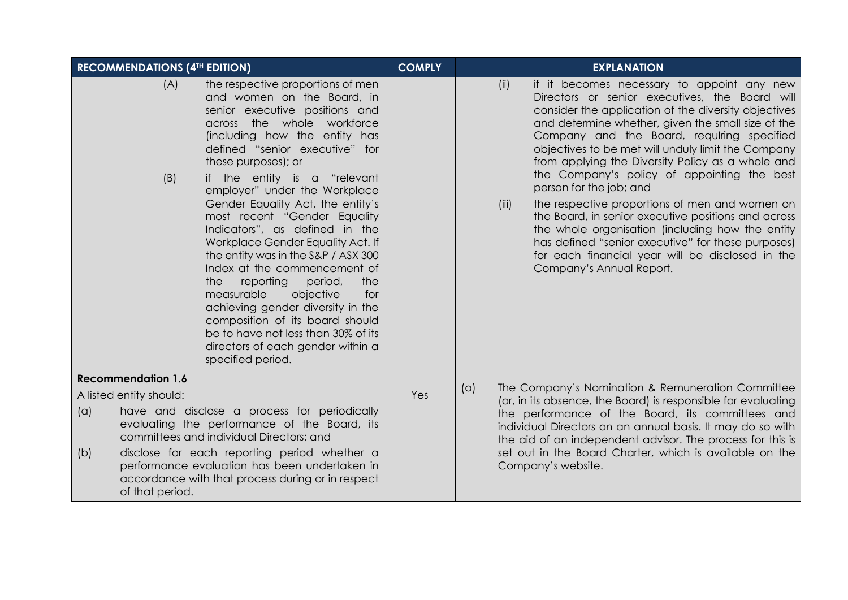|     | <b>RECOMMENDATIONS (4TH EDITION)</b> |                                                                                                                                                                                                                                                                                                                                                                                                                                                                                                                                                                                                                                                                                                                                                                | <b>COMPLY</b> |     |                                                               | <b>EXPLANATION</b>                                                                                                                                                                                                                                                                                                                                                                                                                                                                                                                                                                                                                                                                                                                               |
|-----|--------------------------------------|----------------------------------------------------------------------------------------------------------------------------------------------------------------------------------------------------------------------------------------------------------------------------------------------------------------------------------------------------------------------------------------------------------------------------------------------------------------------------------------------------------------------------------------------------------------------------------------------------------------------------------------------------------------------------------------------------------------------------------------------------------------|---------------|-----|---------------------------------------------------------------|--------------------------------------------------------------------------------------------------------------------------------------------------------------------------------------------------------------------------------------------------------------------------------------------------------------------------------------------------------------------------------------------------------------------------------------------------------------------------------------------------------------------------------------------------------------------------------------------------------------------------------------------------------------------------------------------------------------------------------------------------|
|     | (A)<br>(B)                           | the respective proportions of men<br>and women on the Board, in<br>senior executive positions and<br>across the whole workforce<br>(including how the entity has<br>defined "senior executive" for<br>these purposes); or<br>if the entity is a "relevant<br>employer" under the Workplace<br>Gender Equality Act, the entity's<br>most recent "Gender Equality<br>Indicators", as defined in the<br>Workplace Gender Equality Act. If<br>the entity was in the S&P / ASX 300<br>Index at the commencement of<br>reporting<br>period,<br>the<br>the<br>measurable<br>objective<br>for<br>achieving gender diversity in the<br>composition of its board should<br>be to have not less than 30% of its<br>directors of each gender within a<br>specified period. |               |     | (ii)<br>(iii)                                                 | if it becomes necessary to appoint any new<br>Directors or senior executives, the Board will<br>consider the application of the diversity objectives<br>and determine whether, given the small size of the<br>Company and the Board, requiring specified<br>objectives to be met will unduly limit the Company<br>from applying the Diversity Policy as a whole and<br>the Company's policy of appointing the best<br>person for the job; and<br>the respective proportions of men and women on<br>the Board, in senior executive positions and across<br>the whole organisation (including how the entity<br>has defined "senior executive" for these purposes)<br>for each financial year will be disclosed in the<br>Company's Annual Report. |
|     | <b>Recommendation 1.6</b>            |                                                                                                                                                                                                                                                                                                                                                                                                                                                                                                                                                                                                                                                                                                                                                                |               | (a) |                                                               | The Company's Nomination & Remuneration Committee                                                                                                                                                                                                                                                                                                                                                                                                                                                                                                                                                                                                                                                                                                |
|     | A listed entity should:              |                                                                                                                                                                                                                                                                                                                                                                                                                                                                                                                                                                                                                                                                                                                                                                | Yes           |     | (or, in its absence, the Board) is responsible for evaluating |                                                                                                                                                                                                                                                                                                                                                                                                                                                                                                                                                                                                                                                                                                                                                  |
| (a) |                                      | have and disclose a process for periodically<br>evaluating the performance of the Board, its<br>committees and individual Directors; and                                                                                                                                                                                                                                                                                                                                                                                                                                                                                                                                                                                                                       |               |     |                                                               | the performance of the Board, its committees and<br>individual Directors on an annual basis. It may do so with<br>the aid of an independent advisor. The process for this is                                                                                                                                                                                                                                                                                                                                                                                                                                                                                                                                                                     |
| (b) | of that period.                      | disclose for each reporting period whether a<br>performance evaluation has been undertaken in<br>accordance with that process during or in respect                                                                                                                                                                                                                                                                                                                                                                                                                                                                                                                                                                                                             |               |     |                                                               | set out in the Board Charter, which is available on the<br>Company's website.                                                                                                                                                                                                                                                                                                                                                                                                                                                                                                                                                                                                                                                                    |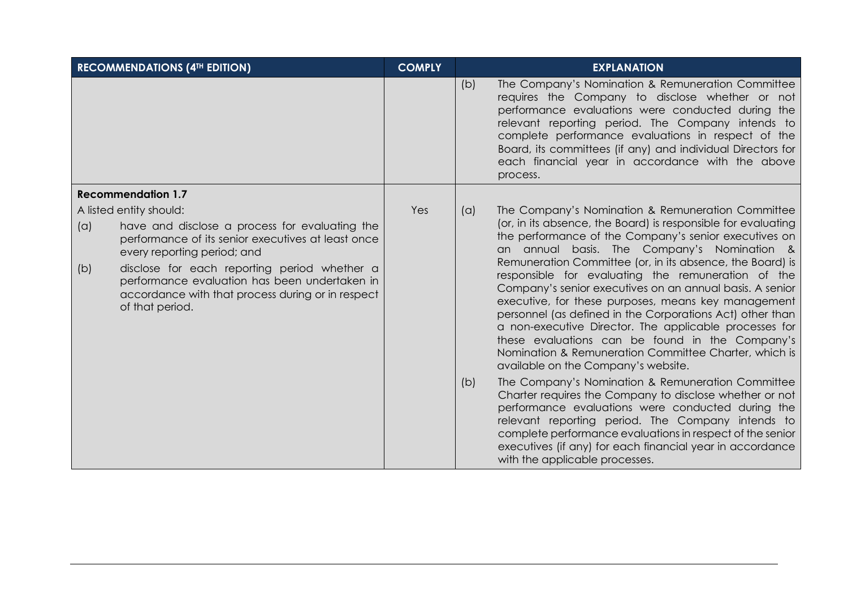|            | <b>RECOMMENDATIONS (4TH EDITION)</b>                                                                                                                                                                                                                                                                                                    | <b>COMPLY</b> |            | <b>EXPLANATION</b>                                                                                                                                                                                                                                                                                                                                                                                                                                                                                                                                                                                                                                                                                                                                                                                                                                                                                                                                                                                                                                                                                                               |
|------------|-----------------------------------------------------------------------------------------------------------------------------------------------------------------------------------------------------------------------------------------------------------------------------------------------------------------------------------------|---------------|------------|----------------------------------------------------------------------------------------------------------------------------------------------------------------------------------------------------------------------------------------------------------------------------------------------------------------------------------------------------------------------------------------------------------------------------------------------------------------------------------------------------------------------------------------------------------------------------------------------------------------------------------------------------------------------------------------------------------------------------------------------------------------------------------------------------------------------------------------------------------------------------------------------------------------------------------------------------------------------------------------------------------------------------------------------------------------------------------------------------------------------------------|
|            |                                                                                                                                                                                                                                                                                                                                         |               | (b)        | The Company's Nomination & Remuneration Committee<br>requires the Company to disclose whether or not<br>performance evaluations were conducted during the<br>relevant reporting period. The Company intends to<br>complete performance evaluations in respect of the<br>Board, its committees (if any) and individual Directors for<br>each financial year in accordance with the above<br>process.                                                                                                                                                                                                                                                                                                                                                                                                                                                                                                                                                                                                                                                                                                                              |
|            | <b>Recommendation 1.7</b>                                                                                                                                                                                                                                                                                                               |               |            |                                                                                                                                                                                                                                                                                                                                                                                                                                                                                                                                                                                                                                                                                                                                                                                                                                                                                                                                                                                                                                                                                                                                  |
| (a)<br>(b) | A listed entity should:<br>have and disclose a process for evaluating the<br>performance of its senior executives at least once<br>every reporting period; and<br>disclose for each reporting period whether a<br>performance evaluation has been undertaken in<br>accordance with that process during or in respect<br>of that period. | Yes           | (a)<br>(b) | The Company's Nomination & Remuneration Committee<br>(or, in its absence, the Board) is responsible for evaluating<br>the performance of the Company's senior executives on<br>an annual basis. The Company's Nomination &<br>Remuneration Committee (or, in its absence, the Board) is<br>responsible for evaluating the remuneration of the<br>Company's senior executives on an annual basis. A senior<br>executive, for these purposes, means key management<br>personnel (as defined in the Corporations Act) other than<br>a non-executive Director. The applicable processes for<br>these evaluations can be found in the Company's<br>Nomination & Remuneration Committee Charter, which is<br>available on the Company's website.<br>The Company's Nomination & Remuneration Committee<br>Charter requires the Company to disclose whether or not<br>performance evaluations were conducted during the<br>relevant reporting period. The Company intends to<br>complete performance evaluations in respect of the senior<br>executives (if any) for each financial year in accordance<br>with the applicable processes. |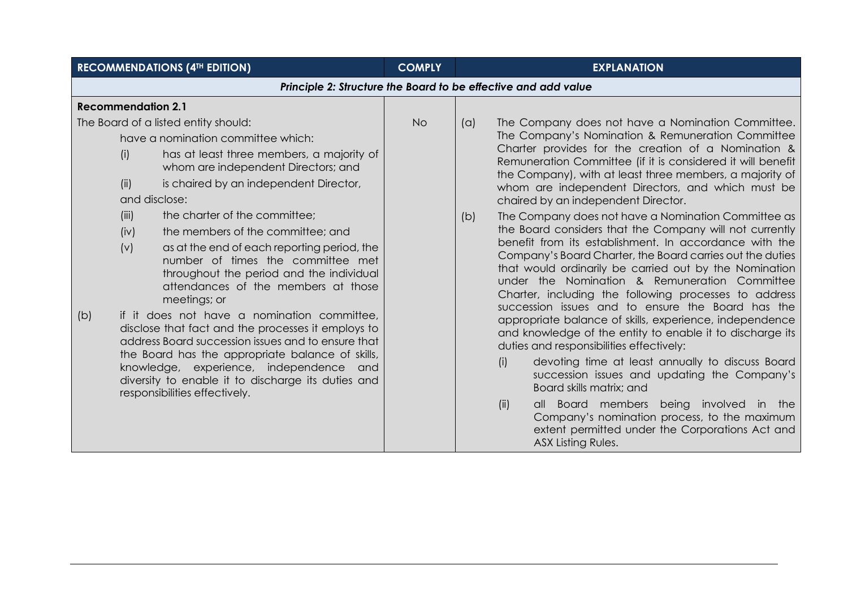| <b>RECOMMENDATIONS (4TH EDITION)</b>                                                                                                                                                                                                                                                                                                                                                                                                                                                                                                                                                                                                                                                                                                                                                                                                                                                  | <b>COMPLY</b> | <b>EXPLANATION</b>                                                                                                                                                                                                                                                                                                                                                                                                                                                                                                                                                                                                                                                                                                                                                                                                                                                                                                                                                                                                                                                                                                                                                                                                                                                                                                                                          |  |  |
|---------------------------------------------------------------------------------------------------------------------------------------------------------------------------------------------------------------------------------------------------------------------------------------------------------------------------------------------------------------------------------------------------------------------------------------------------------------------------------------------------------------------------------------------------------------------------------------------------------------------------------------------------------------------------------------------------------------------------------------------------------------------------------------------------------------------------------------------------------------------------------------|---------------|-------------------------------------------------------------------------------------------------------------------------------------------------------------------------------------------------------------------------------------------------------------------------------------------------------------------------------------------------------------------------------------------------------------------------------------------------------------------------------------------------------------------------------------------------------------------------------------------------------------------------------------------------------------------------------------------------------------------------------------------------------------------------------------------------------------------------------------------------------------------------------------------------------------------------------------------------------------------------------------------------------------------------------------------------------------------------------------------------------------------------------------------------------------------------------------------------------------------------------------------------------------------------------------------------------------------------------------------------------------|--|--|
| Principle 2: Structure the Board to be effective and add value                                                                                                                                                                                                                                                                                                                                                                                                                                                                                                                                                                                                                                                                                                                                                                                                                        |               |                                                                                                                                                                                                                                                                                                                                                                                                                                                                                                                                                                                                                                                                                                                                                                                                                                                                                                                                                                                                                                                                                                                                                                                                                                                                                                                                                             |  |  |
| <b>Recommendation 2.1</b>                                                                                                                                                                                                                                                                                                                                                                                                                                                                                                                                                                                                                                                                                                                                                                                                                                                             |               |                                                                                                                                                                                                                                                                                                                                                                                                                                                                                                                                                                                                                                                                                                                                                                                                                                                                                                                                                                                                                                                                                                                                                                                                                                                                                                                                                             |  |  |
| The Board of a listed entity should:<br>have a nomination committee which:<br>has at least three members, a majority of<br>(i)<br>whom are independent Directors; and<br>is chaired by an independent Director,<br>(ii)<br>and disclose:<br>the charter of the committee;<br>(iii)<br>the members of the committee; and<br>(iv)<br>as at the end of each reporting period, the<br>(v)<br>number of times the committee met<br>throughout the period and the individual<br>attendances of the members at those<br>meetings; or<br>if it does not have a nomination committee,<br>(b)<br>disclose that fact and the processes it employs to<br>address Board succession issues and to ensure that<br>the Board has the appropriate balance of skills,<br>knowledge, experience, independence and<br>diversity to enable it to discharge its duties and<br>responsibilities effectively. | <b>No</b>     | The Company does not have a Nomination Committee.<br>(a)<br>The Company's Nomination & Remuneration Committee<br>Charter provides for the creation of a Nomination &<br>Remuneration Committee (if it is considered it will benefit<br>the Company), with at least three members, a majority of<br>whom are independent Directors, and which must be<br>chaired by an independent Director.<br>The Company does not have a Nomination Committee as<br>(b)<br>the Board considers that the Company will not currently<br>benefit from its establishment. In accordance with the<br>Company's Board Charter, the Board carries out the duties<br>that would ordinarily be carried out by the Nomination<br>under the Nomination & Remuneration Committee<br>Charter, including the following processes to address<br>succession issues and to ensure the Board has the<br>appropriate balance of skills, experience, independence<br>and knowledge of the entity to enable it to discharge its<br>duties and responsibilities effectively:<br>devoting time at least annually to discuss Board<br>(i)<br>succession issues and updating the Company's<br>Board skills matrix; and<br>all Board members being involved in the<br>(ii)<br>Company's nomination process, to the maximum<br>extent permitted under the Corporations Act and<br>ASX Listing Rules. |  |  |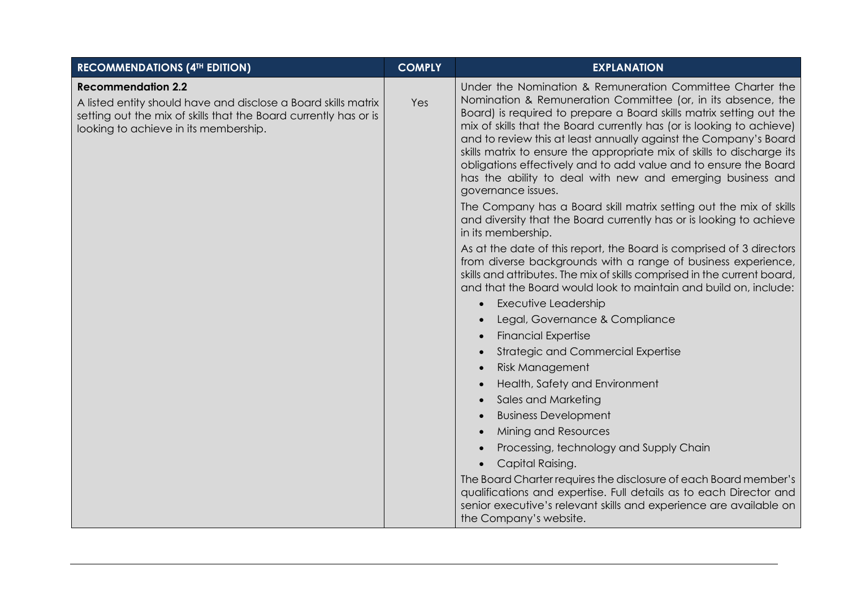| <b>RECOMMENDATIONS (4TH EDITION)</b>                                                                                                                                                                     | <b>COMPLY</b> | <b>EXPLANATION</b>                                                                                                                                                                                                                                                                                                                                                                                                                                                                                                                                                              |
|----------------------------------------------------------------------------------------------------------------------------------------------------------------------------------------------------------|---------------|---------------------------------------------------------------------------------------------------------------------------------------------------------------------------------------------------------------------------------------------------------------------------------------------------------------------------------------------------------------------------------------------------------------------------------------------------------------------------------------------------------------------------------------------------------------------------------|
| <b>Recommendation 2.2</b><br>A listed entity should have and disclose a Board skills matrix<br>setting out the mix of skills that the Board currently has or is<br>looking to achieve in its membership. | Yes           | Under the Nomination & Remuneration Committee Charter the<br>Nomination & Remuneration Committee (or, in its absence, the<br>Board) is required to prepare a Board skills matrix setting out the<br>mix of skills that the Board currently has (or is looking to achieve)<br>and to review this at least annually against the Company's Board<br>skills matrix to ensure the appropriate mix of skills to discharge its<br>obligations effectively and to add value and to ensure the Board<br>has the ability to deal with new and emerging business and<br>governance issues. |
|                                                                                                                                                                                                          |               | The Company has a Board skill matrix setting out the mix of skills<br>and diversity that the Board currently has or is looking to achieve<br>in its membership.                                                                                                                                                                                                                                                                                                                                                                                                                 |
|                                                                                                                                                                                                          |               | As at the date of this report, the Board is comprised of 3 directors<br>from diverse backgrounds with a range of business experience,<br>skills and attributes. The mix of skills comprised in the current board,<br>and that the Board would look to maintain and build on, include:                                                                                                                                                                                                                                                                                           |
|                                                                                                                                                                                                          |               | <b>Executive Leadership</b>                                                                                                                                                                                                                                                                                                                                                                                                                                                                                                                                                     |
|                                                                                                                                                                                                          |               | Legal, Governance & Compliance                                                                                                                                                                                                                                                                                                                                                                                                                                                                                                                                                  |
|                                                                                                                                                                                                          |               | <b>Financial Expertise</b>                                                                                                                                                                                                                                                                                                                                                                                                                                                                                                                                                      |
|                                                                                                                                                                                                          |               | <b>Strategic and Commercial Expertise</b>                                                                                                                                                                                                                                                                                                                                                                                                                                                                                                                                       |
|                                                                                                                                                                                                          |               | <b>Risk Management</b>                                                                                                                                                                                                                                                                                                                                                                                                                                                                                                                                                          |
|                                                                                                                                                                                                          |               | Health, Safety and Environment                                                                                                                                                                                                                                                                                                                                                                                                                                                                                                                                                  |
|                                                                                                                                                                                                          |               | Sales and Marketing                                                                                                                                                                                                                                                                                                                                                                                                                                                                                                                                                             |
|                                                                                                                                                                                                          |               | <b>Business Development</b>                                                                                                                                                                                                                                                                                                                                                                                                                                                                                                                                                     |
|                                                                                                                                                                                                          |               | Mining and Resources                                                                                                                                                                                                                                                                                                                                                                                                                                                                                                                                                            |
|                                                                                                                                                                                                          |               | Processing, technology and Supply Chain                                                                                                                                                                                                                                                                                                                                                                                                                                                                                                                                         |
|                                                                                                                                                                                                          |               | Capital Raising.                                                                                                                                                                                                                                                                                                                                                                                                                                                                                                                                                                |
|                                                                                                                                                                                                          |               | The Board Charter requires the disclosure of each Board member's<br>qualifications and expertise. Full details as to each Director and<br>senior executive's relevant skills and experience are available on<br>the Company's website.                                                                                                                                                                                                                                                                                                                                          |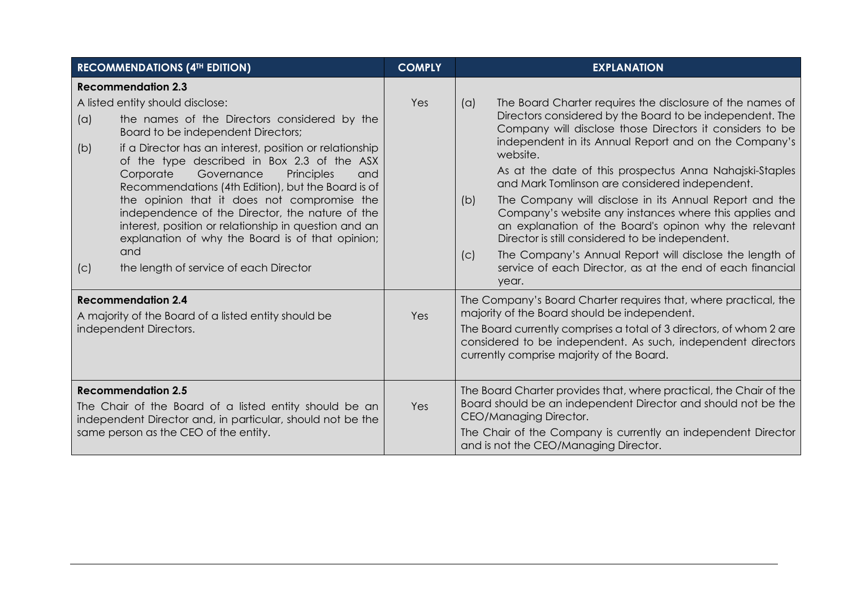| <b>RECOMMENDATIONS (4TH EDITION)</b>                                                                                                                                                                                                                                                                                                                                                                                                                                                                                                                                                                                        | <b>COMPLY</b> | <b>EXPLANATION</b>                                                                                                                                                                                                                                                                                                                                                                                                                                                                                                                                                                                                                                                                                                                                        |
|-----------------------------------------------------------------------------------------------------------------------------------------------------------------------------------------------------------------------------------------------------------------------------------------------------------------------------------------------------------------------------------------------------------------------------------------------------------------------------------------------------------------------------------------------------------------------------------------------------------------------------|---------------|-----------------------------------------------------------------------------------------------------------------------------------------------------------------------------------------------------------------------------------------------------------------------------------------------------------------------------------------------------------------------------------------------------------------------------------------------------------------------------------------------------------------------------------------------------------------------------------------------------------------------------------------------------------------------------------------------------------------------------------------------------------|
| <b>Recommendation 2.3</b>                                                                                                                                                                                                                                                                                                                                                                                                                                                                                                                                                                                                   |               |                                                                                                                                                                                                                                                                                                                                                                                                                                                                                                                                                                                                                                                                                                                                                           |
| A listed entity should disclose:<br>the names of the Directors considered by the<br>(a)<br>Board to be independent Directors;<br>if a Director has an interest, position or relationship<br>(b)<br>of the type described in Box 2.3 of the ASX<br>Corporate<br>Governance<br>Principles<br>and<br>Recommendations (4th Edition), but the Board is of<br>the opinion that it does not compromise the<br>independence of the Director, the nature of the<br>interest, position or relationship in question and an<br>explanation of why the Board is of that opinion;<br>and<br>the length of service of each Director<br>(C) | Yes           | The Board Charter requires the disclosure of the names of<br>(a)<br>Directors considered by the Board to be independent. The<br>Company will disclose those Directors it considers to be<br>independent in its Annual Report and on the Company's<br>website.<br>As at the date of this prospectus Anna Nahajski-Staples<br>and Mark Tomlinson are considered independent.<br>The Company will disclose in its Annual Report and the<br>(b)<br>Company's website any instances where this applies and<br>an explanation of the Board's opinon why the relevant<br>Director is still considered to be independent.<br>The Company's Annual Report will disclose the length of<br>(c)<br>service of each Director, as at the end of each financial<br>year. |
| <b>Recommendation 2.4</b><br>A majority of the Board of a listed entity should be<br>independent Directors.                                                                                                                                                                                                                                                                                                                                                                                                                                                                                                                 | Yes           | The Company's Board Charter requires that, where practical, the<br>majority of the Board should be independent.<br>The Board currently comprises a total of 3 directors, of whom 2 are<br>considered to be independent. As such, independent directors<br>currently comprise majority of the Board.                                                                                                                                                                                                                                                                                                                                                                                                                                                       |
| <b>Recommendation 2.5</b><br>The Chair of the Board of a listed entity should be an<br>independent Director and, in particular, should not be the<br>same person as the CEO of the entity.                                                                                                                                                                                                                                                                                                                                                                                                                                  | Yes           | The Board Charter provides that, where practical, the Chair of the<br>Board should be an independent Director and should not be the<br>CEO/Managing Director.<br>The Chair of the Company is currently an independent Director<br>and is not the CEO/Managing Director.                                                                                                                                                                                                                                                                                                                                                                                                                                                                                   |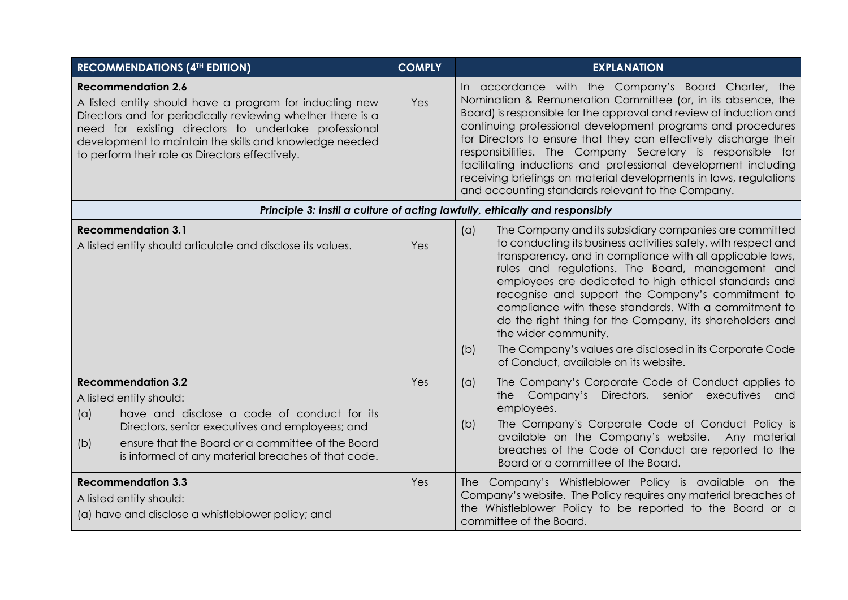| <b>RECOMMENDATIONS (4TH EDITION)</b>                                                                                                                                                                                                                                                                                       | <b>COMPLY</b> | <b>EXPLANATION</b>                                                                                                                                                                                                                                                                                                                                                                                                                                                                                                                                                                                                      |
|----------------------------------------------------------------------------------------------------------------------------------------------------------------------------------------------------------------------------------------------------------------------------------------------------------------------------|---------------|-------------------------------------------------------------------------------------------------------------------------------------------------------------------------------------------------------------------------------------------------------------------------------------------------------------------------------------------------------------------------------------------------------------------------------------------------------------------------------------------------------------------------------------------------------------------------------------------------------------------------|
| <b>Recommendation 2.6</b><br>A listed entity should have a program for inducting new<br>Directors and for periodically reviewing whether there is a<br>need for existing directors to undertake professional<br>development to maintain the skills and knowledge needed<br>to perform their role as Directors effectively. | Yes           | In accordance with the Company's Board Charter, the<br>Nomination & Remuneration Committee (or, in its absence, the<br>Board) is responsible for the approval and review of induction and<br>continuing professional development programs and procedures<br>for Directors to ensure that they can effectively discharge their<br>responsibilities. The Company Secretary is responsible for<br>facilitating inductions and professional development including<br>receiving briefings on material developments in laws, regulations<br>and accounting standards relevant to the Company.                                 |
|                                                                                                                                                                                                                                                                                                                            |               | Principle 3: Instil a culture of acting lawfully, ethically and responsibly                                                                                                                                                                                                                                                                                                                                                                                                                                                                                                                                             |
| <b>Recommendation 3.1</b><br>A listed entity should articulate and disclose its values.                                                                                                                                                                                                                                    | Yes           | The Company and its subsidiary companies are committed<br>(a)<br>to conducting its business activities safely, with respect and<br>transparency, and in compliance with all applicable laws,<br>rules and regulations. The Board, management and<br>employees are dedicated to high ethical standards and<br>recognise and support the Company's commitment to<br>compliance with these standards. With a commitment to<br>do the right thing for the Company, its shareholders and<br>the wider community.<br>The Company's values are disclosed in its Corporate Code<br>(b)<br>of Conduct, available on its website. |
| <b>Recommendation 3.2</b><br>A listed entity should:<br>have and disclose a code of conduct for its<br>(a)<br>Directors, senior executives and employees; and<br>ensure that the Board or a committee of the Board<br>(b)<br>is informed of any material breaches of that code.                                            | Yes           | The Company's Corporate Code of Conduct applies to<br>(a)<br>the Company's Directors, senior executives and<br>employees.<br>The Company's Corporate Code of Conduct Policy is<br>(b)<br>available on the Company's website. Any material<br>breaches of the Code of Conduct are reported to the<br>Board or a committee of the Board.                                                                                                                                                                                                                                                                                  |
| <b>Recommendation 3.3</b><br>A listed entity should:<br>(a) have and disclose a whistleblower policy; and                                                                                                                                                                                                                  | Yes           | The Company's Whistleblower Policy is available on the<br>Company's website. The Policy requires any material breaches of<br>the Whistleblower Policy to be reported to the Board or a<br>committee of the Board.                                                                                                                                                                                                                                                                                                                                                                                                       |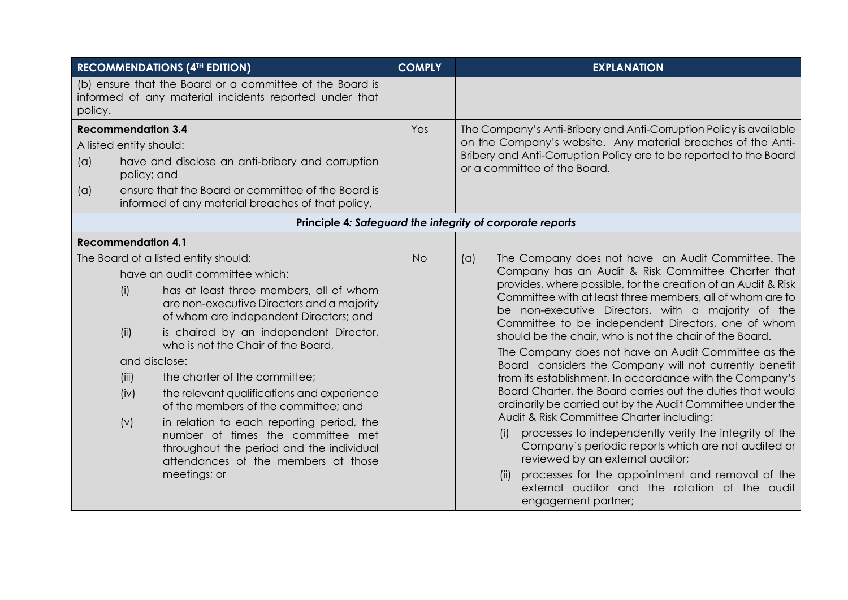|                                                                    | <b>RECOMMENDATIONS (4TH EDITION)</b>                                                                                                                                                                                                                                                                                                                                                                                                                                                                                                                                                                                   | <b>COMPLY</b> | <b>EXPLANATION</b>                                                                                                                                                                                                                                                                                                                                                                                                                                                                                                                                                                                                                                                                                                                                                                                                                                                                                                                                                                                                                                                         |
|--------------------------------------------------------------------|------------------------------------------------------------------------------------------------------------------------------------------------------------------------------------------------------------------------------------------------------------------------------------------------------------------------------------------------------------------------------------------------------------------------------------------------------------------------------------------------------------------------------------------------------------------------------------------------------------------------|---------------|----------------------------------------------------------------------------------------------------------------------------------------------------------------------------------------------------------------------------------------------------------------------------------------------------------------------------------------------------------------------------------------------------------------------------------------------------------------------------------------------------------------------------------------------------------------------------------------------------------------------------------------------------------------------------------------------------------------------------------------------------------------------------------------------------------------------------------------------------------------------------------------------------------------------------------------------------------------------------------------------------------------------------------------------------------------------------|
| policy.                                                            | (b) ensure that the Board or a committee of the Board is<br>informed of any material incidents reported under that                                                                                                                                                                                                                                                                                                                                                                                                                                                                                                     |               |                                                                                                                                                                                                                                                                                                                                                                                                                                                                                                                                                                                                                                                                                                                                                                                                                                                                                                                                                                                                                                                                            |
| <b>Recommendation 3.4</b><br>A listed entity should:<br>(a)<br>(a) | have and disclose an anti-bribery and corruption<br>policy; and<br>ensure that the Board or committee of the Board is                                                                                                                                                                                                                                                                                                                                                                                                                                                                                                  | Yes           | The Company's Anti-Bribery and Anti-Corruption Policy is available<br>on the Company's website. Any material breaches of the Anti-<br>Bribery and Anti-Corruption Policy are to be reported to the Board<br>or a committee of the Board.                                                                                                                                                                                                                                                                                                                                                                                                                                                                                                                                                                                                                                                                                                                                                                                                                                   |
|                                                                    | informed of any material breaches of that policy.                                                                                                                                                                                                                                                                                                                                                                                                                                                                                                                                                                      |               |                                                                                                                                                                                                                                                                                                                                                                                                                                                                                                                                                                                                                                                                                                                                                                                                                                                                                                                                                                                                                                                                            |
|                                                                    |                                                                                                                                                                                                                                                                                                                                                                                                                                                                                                                                                                                                                        |               | Principle 4: Safeguard the integrity of corporate reports                                                                                                                                                                                                                                                                                                                                                                                                                                                                                                                                                                                                                                                                                                                                                                                                                                                                                                                                                                                                                  |
| <b>Recommendation 4.1</b>                                          |                                                                                                                                                                                                                                                                                                                                                                                                                                                                                                                                                                                                                        | <b>No</b>     |                                                                                                                                                                                                                                                                                                                                                                                                                                                                                                                                                                                                                                                                                                                                                                                                                                                                                                                                                                                                                                                                            |
| (i)<br>(ii)<br>(iii)<br>(iv)<br>(v)                                | The Board of a listed entity should:<br>have an audit committee which:<br>has at least three members, all of whom<br>are non-executive Directors and a majority<br>of whom are independent Directors; and<br>is chaired by an independent Director,<br>who is not the Chair of the Board,<br>and disclose:<br>the charter of the committee;<br>the relevant qualifications and experience<br>of the members of the committee; and<br>in relation to each reporting period, the<br>number of times the committee met<br>throughout the period and the individual<br>attendances of the members at those<br>meetings; or |               | The Company does not have an Audit Committee. The<br>(a)<br>Company has an Audit & Risk Committee Charter that<br>provides, where possible, for the creation of an Audit & Risk<br>Committee with at least three members, all of whom are to<br>be non-executive Directors, with a majority of the<br>Committee to be independent Directors, one of whom<br>should be the chair, who is not the chair of the Board.<br>The Company does not have an Audit Committee as the<br>Board considers the Company will not currently benefit<br>from its establishment. In accordance with the Company's<br>Board Charter, the Board carries out the duties that would<br>ordinarily be carried out by the Audit Committee under the<br>Audit & Risk Committee Charter including:<br>processes to independently verify the integrity of the<br>(i)<br>Company's periodic reports which are not audited or<br>reviewed by an external auditor;<br>processes for the appointment and removal of the<br>(ii)<br>external auditor and the rotation of the audit<br>engagement partner; |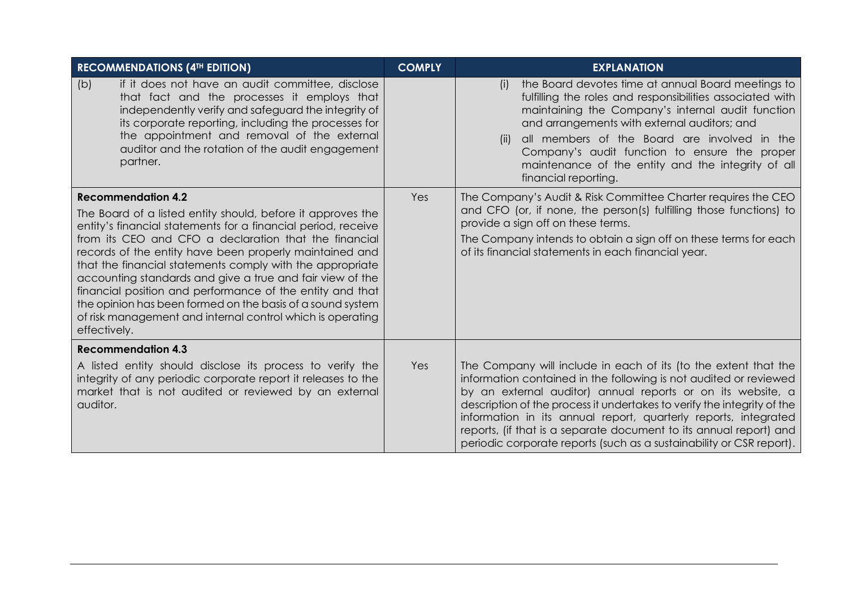| <b>RECOMMENDATIONS (4TH EDITION)</b>                                                                                                                                                                                                                                                                                                                                                                                                                                                                                                                                                                             | <b>COMPLY</b> | <b>EXPLANATION</b>                                                                                                                                                                                                                                                                                                                                                                                                                                                                              |
|------------------------------------------------------------------------------------------------------------------------------------------------------------------------------------------------------------------------------------------------------------------------------------------------------------------------------------------------------------------------------------------------------------------------------------------------------------------------------------------------------------------------------------------------------------------------------------------------------------------|---------------|-------------------------------------------------------------------------------------------------------------------------------------------------------------------------------------------------------------------------------------------------------------------------------------------------------------------------------------------------------------------------------------------------------------------------------------------------------------------------------------------------|
| if it does not have an audit committee, disclose<br>(b)<br>that fact and the processes it employs that<br>independently verify and safeguard the integrity of<br>its corporate reporting, including the processes for<br>the appointment and removal of the external<br>auditor and the rotation of the audit engagement<br>partner.                                                                                                                                                                                                                                                                             |               | the Board devotes time at annual Board meetings to<br>(i)<br>fulfilling the roles and responsibilities associated with<br>maintaining the Company's internal audit function<br>and arrangements with external auditors; and<br>all members of the Board are involved in the<br>(ii)<br>Company's audit function to ensure the proper<br>maintenance of the entity and the integrity of all<br>financial reporting.                                                                              |
| <b>Recommendation 4.2</b><br>The Board of a listed entity should, before it approves the<br>entity's financial statements for a financial period, receive<br>from its CEO and CFO a declaration that the financial<br>records of the entity have been properly maintained and<br>that the financial statements comply with the appropriate<br>accounting standards and give a true and fair view of the<br>financial position and performance of the entity and that<br>the opinion has been formed on the basis of a sound system<br>of risk management and internal control which is operating<br>effectively. | Yes           | The Company's Audit & Risk Committee Charter requires the CEO<br>and CFO (or, if none, the person(s) fulfilling those functions) to<br>provide a sign off on these terms.<br>The Company intends to obtain a sign off on these terms for each<br>of its financial statements in each financial year.                                                                                                                                                                                            |
| <b>Recommendation 4.3</b><br>A listed entity should disclose its process to verify the<br>integrity of any periodic corporate report it releases to the<br>market that is not audited or reviewed by an external<br>auditor.                                                                                                                                                                                                                                                                                                                                                                                     | Yes           | The Company will include in each of its (to the extent that the<br>information contained in the following is not audited or reviewed<br>by an external auditor) annual reports or on its website, a<br>description of the process it undertakes to verify the integrity of the<br>information in its annual report, quarterly reports, integrated<br>reports, (if that is a separate document to its annual report) and<br>periodic corporate reports (such as a sustainability or CSR report). |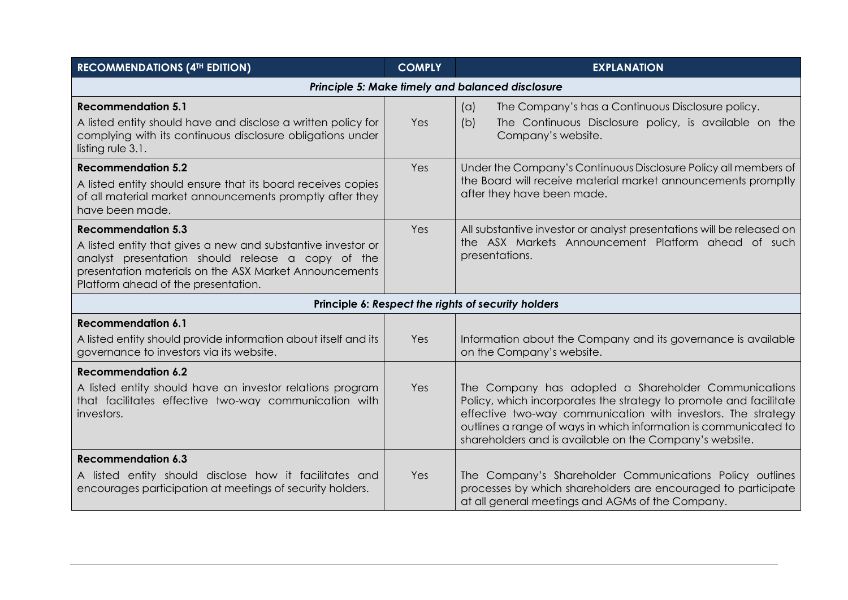| <b>RECOMMENDATIONS (4TH EDITION)</b>                                                                                                                                                                                                            | <b>COMPLY</b> | <b>EXPLANATION</b>                                                                                                                                                                                                                                                                                                       |
|-------------------------------------------------------------------------------------------------------------------------------------------------------------------------------------------------------------------------------------------------|---------------|--------------------------------------------------------------------------------------------------------------------------------------------------------------------------------------------------------------------------------------------------------------------------------------------------------------------------|
|                                                                                                                                                                                                                                                 |               | Principle 5: Make timely and balanced disclosure                                                                                                                                                                                                                                                                         |
| <b>Recommendation 5.1</b><br>A listed entity should have and disclose a written policy for<br>complying with its continuous disclosure obligations under<br>listing rule 3.1.                                                                   | Yes           | The Company's has a Continuous Disclosure policy.<br>(a)<br>(b)<br>The Continuous Disclosure policy, is available on the<br>Company's website.                                                                                                                                                                           |
| <b>Recommendation 5.2</b><br>A listed entity should ensure that its board receives copies<br>of all material market announcements promptly after they<br>have been made.                                                                        | Yes           | Under the Company's Continuous Disclosure Policy all members of<br>the Board will receive material market announcements promptly<br>after they have been made.                                                                                                                                                           |
| <b>Recommendation 5.3</b><br>A listed entity that gives a new and substantive investor or<br>analyst presentation should release a copy of the<br>presentation materials on the ASX Market Announcements<br>Platform ahead of the presentation. | Yes           | All substantive investor or analyst presentations will be released on<br>the ASX Markets Announcement Platform ahead of such<br>presentations.                                                                                                                                                                           |
|                                                                                                                                                                                                                                                 |               | Principle 6: Respect the rights of security holders                                                                                                                                                                                                                                                                      |
| <b>Recommendation 6.1</b><br>A listed entity should provide information about itself and its<br>governance to investors via its website.                                                                                                        | Yes           | Information about the Company and its governance is available<br>on the Company's website.                                                                                                                                                                                                                               |
| <b>Recommendation 6.2</b><br>A listed entity should have an investor relations program<br>that facilitates effective two-way communication with<br>investors.                                                                                   | Yes           | The Company has adopted a Shareholder Communications<br>Policy, which incorporates the strategy to promote and facilitate<br>effective two-way communication with investors. The strategy<br>outlines a range of ways in which information is communicated to<br>shareholders and is available on the Company's website. |
| <b>Recommendation 6.3</b><br>A listed entity should disclose how it facilitates and<br>encourages participation at meetings of security holders.                                                                                                | Yes           | The Company's Shareholder Communications Policy outlines<br>processes by which shareholders are encouraged to participate<br>at all general meetings and AGMs of the Company.                                                                                                                                            |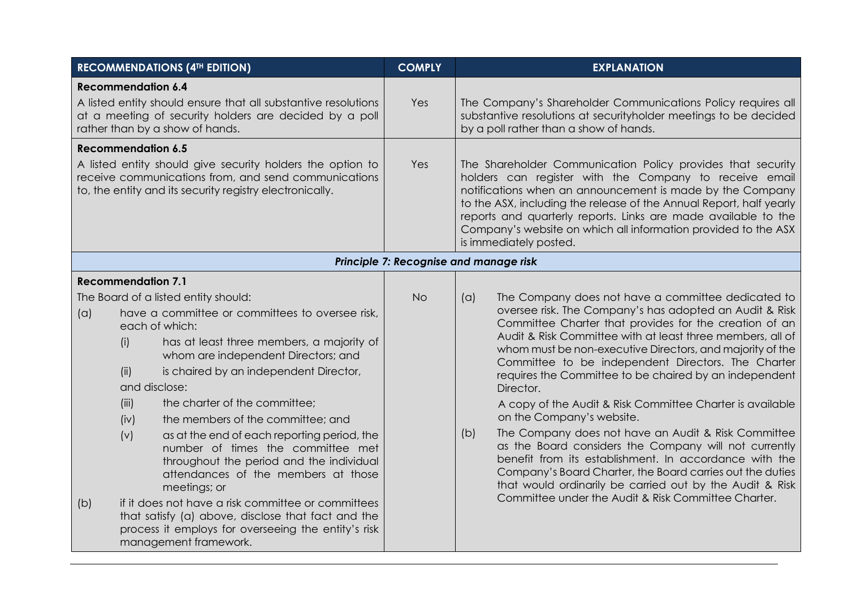| <b>RECOMMENDATIONS (4TH EDITION)</b>                                                                                                                                           |                                     |                                                                                                                                                                                                                                                                                                                                                                                                                                                                                                                                                                             | <b>COMPLY</b>                          |                                                                                                                                  | <b>EXPLANATION</b>                                                                                                                                                                                                                                                                                                                                                                                                                                                                                                                                                                                                                                                                                                                                                                                                                                                                  |
|--------------------------------------------------------------------------------------------------------------------------------------------------------------------------------|-------------------------------------|-----------------------------------------------------------------------------------------------------------------------------------------------------------------------------------------------------------------------------------------------------------------------------------------------------------------------------------------------------------------------------------------------------------------------------------------------------------------------------------------------------------------------------------------------------------------------------|----------------------------------------|----------------------------------------------------------------------------------------------------------------------------------|-------------------------------------------------------------------------------------------------------------------------------------------------------------------------------------------------------------------------------------------------------------------------------------------------------------------------------------------------------------------------------------------------------------------------------------------------------------------------------------------------------------------------------------------------------------------------------------------------------------------------------------------------------------------------------------------------------------------------------------------------------------------------------------------------------------------------------------------------------------------------------------|
| <b>Recommendation 6.4</b><br>A listed entity should ensure that all substantive resolutions                                                                                    |                                     | Yes                                                                                                                                                                                                                                                                                                                                                                                                                                                                                                                                                                         |                                        | The Company's Shareholder Communications Policy requires all<br>substantive resolutions at securityholder meetings to be decided |                                                                                                                                                                                                                                                                                                                                                                                                                                                                                                                                                                                                                                                                                                                                                                                                                                                                                     |
| at a meeting of security holders are decided by a poll<br>rather than by a show of hands.                                                                                      |                                     |                                                                                                                                                                                                                                                                                                                                                                                                                                                                                                                                                                             |                                        | by a poll rather than a show of hands.                                                                                           |                                                                                                                                                                                                                                                                                                                                                                                                                                                                                                                                                                                                                                                                                                                                                                                                                                                                                     |
|                                                                                                                                                                                | <b>Recommendation 6.5</b>           |                                                                                                                                                                                                                                                                                                                                                                                                                                                                                                                                                                             |                                        |                                                                                                                                  |                                                                                                                                                                                                                                                                                                                                                                                                                                                                                                                                                                                                                                                                                                                                                                                                                                                                                     |
| A listed entity should give security holders the option to<br>receive communications from, and send communications<br>to, the entity and its security registry electronically. |                                     |                                                                                                                                                                                                                                                                                                                                                                                                                                                                                                                                                                             | Yes                                    |                                                                                                                                  | The Shareholder Communication Policy provides that security<br>holders can register with the Company to receive email<br>notifications when an announcement is made by the Company<br>to the ASX, including the release of the Annual Report, half yearly<br>reports and quarterly reports. Links are made available to the<br>Company's website on which all information provided to the ASX<br>is immediately posted.                                                                                                                                                                                                                                                                                                                                                                                                                                                             |
|                                                                                                                                                                                |                                     |                                                                                                                                                                                                                                                                                                                                                                                                                                                                                                                                                                             | Principle 7: Recognise and manage risk |                                                                                                                                  |                                                                                                                                                                                                                                                                                                                                                                                                                                                                                                                                                                                                                                                                                                                                                                                                                                                                                     |
|                                                                                                                                                                                | <b>Recommendation 7.1</b>           |                                                                                                                                                                                                                                                                                                                                                                                                                                                                                                                                                                             |                                        |                                                                                                                                  |                                                                                                                                                                                                                                                                                                                                                                                                                                                                                                                                                                                                                                                                                                                                                                                                                                                                                     |
| (a)<br>(b)                                                                                                                                                                     | (i)<br>(ii)<br>(iii)<br>(iv)<br>(v) | The Board of a listed entity should:<br>have a committee or committees to oversee risk,<br>each of which:<br>has at least three members, a majority of<br>whom are independent Directors; and<br>is chaired by an independent Director,<br>and disclose:<br>the charter of the committee;<br>the members of the committee; and<br>as at the end of each reporting period, the<br>number of times the committee met<br>throughout the period and the individual<br>attendances of the members at those<br>meetings; or<br>if it does not have a risk committee or committees | <b>No</b>                              | (a)<br>(b)                                                                                                                       | The Company does not have a committee dedicated to<br>oversee risk. The Company's has adopted an Audit & Risk<br>Committee Charter that provides for the creation of an<br>Audit & Risk Committee with at least three members, all of<br>whom must be non-executive Directors, and majority of the<br>Committee to be independent Directors. The Charter<br>requires the Committee to be chaired by an independent<br>Director.<br>A copy of the Audit & Risk Committee Charter is available<br>on the Company's website.<br>The Company does not have an Audit & Risk Committee<br>as the Board considers the Company will not currently<br>benefit from its establishment. In accordance with the<br>Company's Board Charter, the Board carries out the duties<br>that would ordinarily be carried out by the Audit & Risk<br>Committee under the Audit & Risk Committee Charter. |
| that satisfy (a) above, disclose that fact and the<br>process it employs for overseeing the entity's risk<br>management framework.                                             |                                     |                                                                                                                                                                                                                                                                                                                                                                                                                                                                                                                                                                             |                                        |                                                                                                                                  |                                                                                                                                                                                                                                                                                                                                                                                                                                                                                                                                                                                                                                                                                                                                                                                                                                                                                     |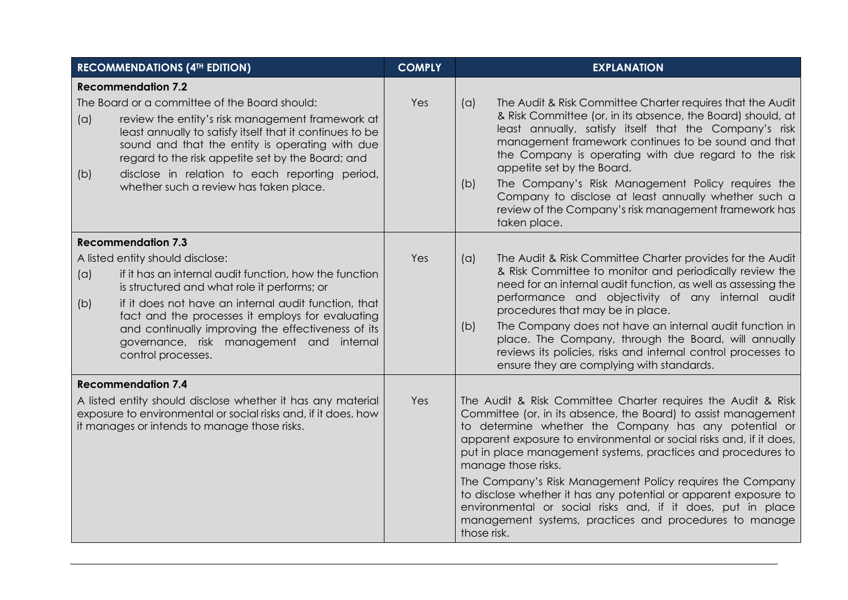|                                                                                                                                                                               | <b>RECOMMENDATIONS (4TH EDITION)</b>                                                                                                                                                                                                                                                                                                                              | <b>COMPLY</b> | <b>EXPLANATION</b>                                                                                                                                                                                                                                                                                                                                                                                                                                                                                                                   |
|-------------------------------------------------------------------------------------------------------------------------------------------------------------------------------|-------------------------------------------------------------------------------------------------------------------------------------------------------------------------------------------------------------------------------------------------------------------------------------------------------------------------------------------------------------------|---------------|--------------------------------------------------------------------------------------------------------------------------------------------------------------------------------------------------------------------------------------------------------------------------------------------------------------------------------------------------------------------------------------------------------------------------------------------------------------------------------------------------------------------------------------|
|                                                                                                                                                                               | <b>Recommendation 7.2</b>                                                                                                                                                                                                                                                                                                                                         |               |                                                                                                                                                                                                                                                                                                                                                                                                                                                                                                                                      |
| (a)<br>(b)                                                                                                                                                                    | The Board or a committee of the Board should:<br>review the entity's risk management framework at<br>least annually to satisfy itself that it continues to be<br>sound and that the entity is operating with due<br>regard to the risk appetite set by the Board; and<br>disclose in relation to each reporting period,<br>whether such a review has taken place. | Yes           | The Audit & Risk Committee Charter requires that the Audit<br>(a)<br>& Risk Committee (or, in its absence, the Board) should, at<br>least annually, satisfy itself that the Company's risk<br>management framework continues to be sound and that<br>the Company is operating with due regard to the risk<br>appetite set by the Board.<br>The Company's Risk Management Policy requires the<br>(b)<br>Company to disclose at least annually whether such a<br>review of the Company's risk management framework has<br>taken place. |
|                                                                                                                                                                               | <b>Recommendation 7.3</b>                                                                                                                                                                                                                                                                                                                                         |               |                                                                                                                                                                                                                                                                                                                                                                                                                                                                                                                                      |
| (a)                                                                                                                                                                           | A listed entity should disclose:<br>if it has an internal audit function, how the function                                                                                                                                                                                                                                                                        | Yes           | The Audit & Risk Committee Charter provides for the Audit<br>(a)<br>& Risk Committee to monitor and periodically review the                                                                                                                                                                                                                                                                                                                                                                                                          |
| (b)                                                                                                                                                                           | is structured and what role it performs; or<br>if it does not have an internal audit function, that<br>fact and the processes it employs for evaluating<br>and continually improving the effectiveness of its<br>governance, risk management and internal<br>control processes.                                                                                   |               | need for an internal audit function, as well as assessing the<br>performance and objectivity of any internal audit<br>procedures that may be in place.                                                                                                                                                                                                                                                                                                                                                                               |
|                                                                                                                                                                               |                                                                                                                                                                                                                                                                                                                                                                   |               | The Company does not have an internal audit function in<br>(b)<br>place. The Company, through the Board, will annually<br>reviews its policies, risks and internal control processes to<br>ensure they are complying with standards.                                                                                                                                                                                                                                                                                                 |
|                                                                                                                                                                               | <b>Recommendation 7.4</b>                                                                                                                                                                                                                                                                                                                                         |               |                                                                                                                                                                                                                                                                                                                                                                                                                                                                                                                                      |
| A listed entity should disclose whether it has any material<br>exposure to environmental or social risks and, if it does, how<br>it manages or intends to manage those risks. |                                                                                                                                                                                                                                                                                                                                                                   | Yes           | The Audit & Risk Committee Charter requires the Audit & Risk<br>Committee (or, in its absence, the Board) to assist management<br>to determine whether the Company has any potential or<br>apparent exposure to environmental or social risks and, if it does,<br>put in place management systems, practices and procedures to<br>manage those risks.                                                                                                                                                                                |
|                                                                                                                                                                               |                                                                                                                                                                                                                                                                                                                                                                   |               | The Company's Risk Management Policy requires the Company<br>to disclose whether it has any potential or apparent exposure to<br>environmental or social risks and, if it does, put in place<br>management systems, practices and procedures to manage<br>those risk.                                                                                                                                                                                                                                                                |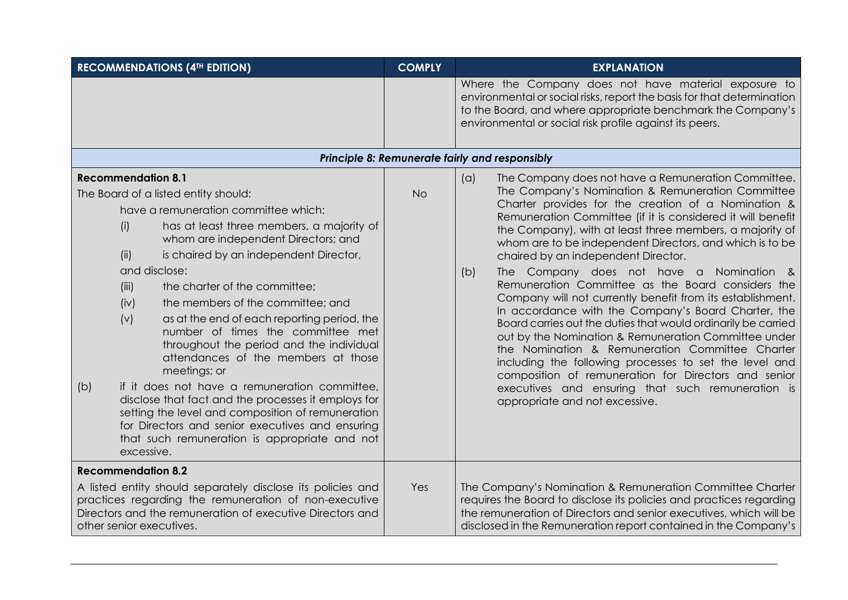| <b>RECOMMENDATIONS (4TH EDITION)</b>                                                                                                                                                                                                       |                                                                                                                                                                                                                                                                                                                                                                                                                                                                                                                                                                                                                                                                                                                                                                                                                                              | <b>COMPLY</b> | <b>EXPLANATION</b>                                                                                                                                                                                                                                                                                                                                                                                                                                                                                                                                                                                                                                                                                                                                                                                                                                                                                                                                                                                                     |  |
|--------------------------------------------------------------------------------------------------------------------------------------------------------------------------------------------------------------------------------------------|----------------------------------------------------------------------------------------------------------------------------------------------------------------------------------------------------------------------------------------------------------------------------------------------------------------------------------------------------------------------------------------------------------------------------------------------------------------------------------------------------------------------------------------------------------------------------------------------------------------------------------------------------------------------------------------------------------------------------------------------------------------------------------------------------------------------------------------------|---------------|------------------------------------------------------------------------------------------------------------------------------------------------------------------------------------------------------------------------------------------------------------------------------------------------------------------------------------------------------------------------------------------------------------------------------------------------------------------------------------------------------------------------------------------------------------------------------------------------------------------------------------------------------------------------------------------------------------------------------------------------------------------------------------------------------------------------------------------------------------------------------------------------------------------------------------------------------------------------------------------------------------------------|--|
|                                                                                                                                                                                                                                            |                                                                                                                                                                                                                                                                                                                                                                                                                                                                                                                                                                                                                                                                                                                                                                                                                                              |               | Where the Company does not have material exposure to<br>environmental or social risks, report the basis for that determination<br>to the Board, and where appropriate benchmark the Company's<br>environmental or social risk profile against its peers.                                                                                                                                                                                                                                                                                                                                                                                                                                                                                                                                                                                                                                                                                                                                                               |  |
|                                                                                                                                                                                                                                            |                                                                                                                                                                                                                                                                                                                                                                                                                                                                                                                                                                                                                                                                                                                                                                                                                                              |               | Principle 8: Remunerate fairly and responsibly                                                                                                                                                                                                                                                                                                                                                                                                                                                                                                                                                                                                                                                                                                                                                                                                                                                                                                                                                                         |  |
| (b)                                                                                                                                                                                                                                        | <b>Recommendation 8.1</b><br>The Board of a listed entity should:<br>have a remuneration committee which:<br>has at least three members, a majority of<br>(i)<br>whom are independent Directors; and<br>is chaired by an independent Director,<br>(ii)<br>and disclose:<br>the charter of the committee;<br>(iii)<br>the members of the committee; and<br>(iv)<br>(v)<br>as at the end of each reporting period, the<br>number of times the committee met<br>throughout the period and the individual<br>attendances of the members at those<br>meetings; or<br>if it does not have a remuneration committee,<br>disclose that fact and the processes it employs for<br>setting the level and composition of remuneration<br>for Directors and senior executives and ensuring<br>that such remuneration is appropriate and not<br>excessive. | <b>No</b>     | The Company does not have a Remuneration Committee.<br>(a)<br>The Company's Nomination & Remuneration Committee<br>Charter provides for the creation of a Nomination &<br>Remuneration Committee (if it is considered it will benefit<br>the Company), with at least three members, a majority of<br>whom are to be independent Directors, and which is to be<br>chaired by an independent Director.<br>The Company does not have a Nomination &<br>(b)<br>Remuneration Committee as the Board considers the<br>Company will not currently benefit from its establishment.<br>In accordance with the Company's Board Charter, the<br>Board carries out the duties that would ordinarily be carried<br>out by the Nomination & Remuneration Committee under<br>the Nomination & Remuneration Committee Charter<br>including the following processes to set the level and<br>composition of remuneration for Directors and senior<br>executives and ensuring that such remuneration is<br>appropriate and not excessive. |  |
| <b>Recommendation 8.2</b><br>A listed entity should separately disclose its policies and<br>practices regarding the remuneration of non-executive<br>Directors and the remuneration of executive Directors and<br>other senior executives. |                                                                                                                                                                                                                                                                                                                                                                                                                                                                                                                                                                                                                                                                                                                                                                                                                                              | Yes           | The Company's Nomination & Remuneration Committee Charter<br>requires the Board to disclose its policies and practices regarding<br>the remuneration of Directors and senior executives, which will be<br>disclosed in the Remuneration report contained in the Company's                                                                                                                                                                                                                                                                                                                                                                                                                                                                                                                                                                                                                                                                                                                                              |  |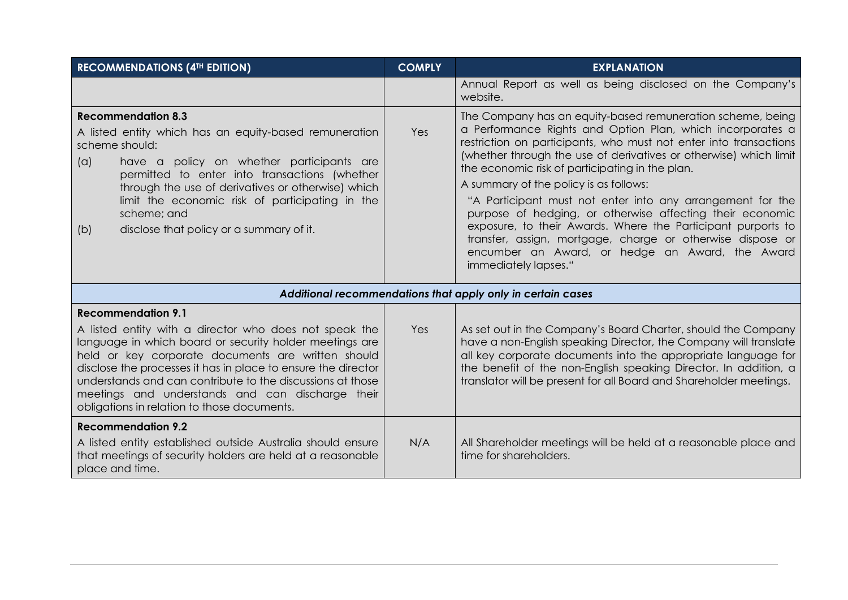| <b>RECOMMENDATIONS (4TH EDITION)</b>                                                                                                                                                                                                                                                                                                                                                                                                   | <b>COMPLY</b> | <b>EXPLANATION</b>                                                                                                                                                                                                                                                                                                                                                                                                                                                                                                                                                                                                                                                                                  |
|----------------------------------------------------------------------------------------------------------------------------------------------------------------------------------------------------------------------------------------------------------------------------------------------------------------------------------------------------------------------------------------------------------------------------------------|---------------|-----------------------------------------------------------------------------------------------------------------------------------------------------------------------------------------------------------------------------------------------------------------------------------------------------------------------------------------------------------------------------------------------------------------------------------------------------------------------------------------------------------------------------------------------------------------------------------------------------------------------------------------------------------------------------------------------------|
|                                                                                                                                                                                                                                                                                                                                                                                                                                        |               | Annual Report as well as being disclosed on the Company's<br>website.                                                                                                                                                                                                                                                                                                                                                                                                                                                                                                                                                                                                                               |
| <b>Recommendation 8.3</b><br>A listed entity which has an equity-based remuneration<br>scheme should:<br>(a)<br>have a policy on whether participants are<br>permitted to enter into transactions (whether<br>through the use of derivatives or otherwise) which<br>limit the economic risk of participating in the<br>scheme; and<br>disclose that policy or a summary of it.<br>(b)                                                  | Yes           | The Company has an equity-based remuneration scheme, being<br>a Performance Rights and Option Plan, which incorporates a<br>restriction on participants, who must not enter into transactions<br>(whether through the use of derivatives or otherwise) which limit<br>the economic risk of participating in the plan.<br>A summary of the policy is as follows:<br>"A Participant must not enter into any arrangement for the<br>purpose of hedging, or otherwise affecting their economic<br>exposure, to their Awards. Where the Participant purports to<br>transfer, assign, mortgage, charge or otherwise dispose or<br>encumber an Award, or hedge an Award, the Award<br>immediately lapses." |
|                                                                                                                                                                                                                                                                                                                                                                                                                                        |               | Additional recommendations that apply only in certain cases                                                                                                                                                                                                                                                                                                                                                                                                                                                                                                                                                                                                                                         |
| <b>Recommendation 9.1</b><br>A listed entity with a director who does not speak the<br>language in which board or security holder meetings are<br>held or key corporate documents are written should<br>disclose the processes it has in place to ensure the director<br>understands and can contribute to the discussions at those<br>meetings and understands and can discharge their<br>obligations in relation to those documents. | Yes           | As set out in the Company's Board Charter, should the Company<br>have a non-English speaking Director, the Company will translate<br>all key corporate documents into the appropriate language for<br>the benefit of the non-English speaking Director. In addition, a<br>translator will be present for all Board and Shareholder meetings.                                                                                                                                                                                                                                                                                                                                                        |
| <b>Recommendation 9.2</b><br>A listed entity established outside Australia should ensure<br>that meetings of security holders are held at a reasonable<br>place and time.                                                                                                                                                                                                                                                              | N/A           | All Shareholder meetings will be held at a reasonable place and<br>time for shareholders.                                                                                                                                                                                                                                                                                                                                                                                                                                                                                                                                                                                                           |